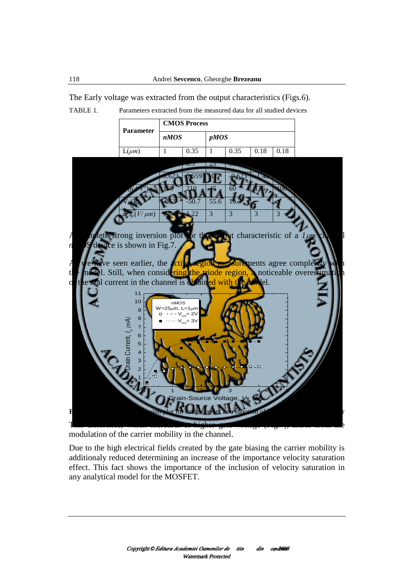| <b>Parameter</b>     | <b>CMOS Process</b> |         |             |          |         |         |
|----------------------|---------------------|---------|-------------|----------|---------|---------|
|                      | nMOS                |         | <i>pMOS</i> |          |         |         |
| $L(\mu m)$           | 1                   | 0.35    | 1           | 0.35     | 0.18    | 0.18    |
| $W(\mu m)$           | 25                  | 0.5     | 25          | 0.5      | 2       | 0.4     |
| $V_T(V)$             | 0.623               | 0.659   | $-0.7$      | $-0.623$ | $-1.42$ | $-0.34$ |
| $k(\mu A/V^2)$       | 160                 | 210     | 45          | 60       | 116     | 100     |
| $V_E(V)$             | $-353$              | $-50.7$ | 55.6        | 16.3     |         |         |
| $a^* \xi_c(V/\mu m)$ | 1.74                | 1.22    | 3           | 3        | 3       | 3       |

The Early voltage was extracted from the output characteristics (Figs.6). TABLE 1. Parameters extracted from the measured data for all studied devices

A complete strong inversion plot for the output characteristic of a  $1 \mu m$  channel *n*MOS device is shown in Fig.7.

As we have seen earlier, the active region measurements agree completely with the model. Still, when considering the triode region, a noticeable overestimation of the real current in the channel is obtained with the model.



**Fig.7.** Complete strong inversion plot for drain current as a function of  $V_{DS}$  for an nMOS transistor

This difference, which increases at higher gate voltage (Fig.7), arises from the modulation of the carrier mobility in the channel.

Due to the high electrical fields created by the gate biasing the carrier mobility is additionaly reduced determining an increase of the importance velocity saturation effect. This fact shows the importance of the inclusion of velocity saturation in any analytical model for the MOSFET.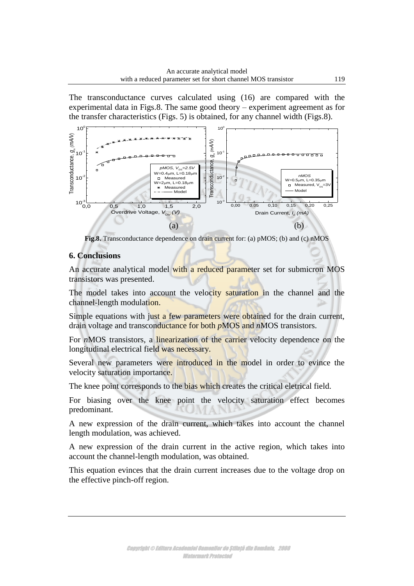The transconductance curves calculated using (16) are compared with the experimental data in Figs.8. The same good theory – experiment agreement as for the transfer characteristics (Figs. 5) is obtained, for any channel width (Figs.8).



**Fig.8.** Transconductance dependence on drain current for: (a) pMOS; (b) and (c) nMOS

## **6. Conclusions**

An accurate analytical model with a reduced parameter set for submicron MOS transistors was presented.

The model takes into account the velocity saturation in the channel and the channel-length modulation.

Simple equations with just a few parameters were obtained for the drain current, drain voltage and transconductance for both *pMOS* and *nMOS* transistors.

For *n*MOS transistors, a linearization of the carrier velocity dependence on the longitudinal electrical field was necessary.

Several new parameters were introduced in the model in order to evince the velocity saturation importance.

The knee point corresponds to the bias which creates the critical eletrical field.

For biasing over the knee point the velocity saturation effect becomes predominant.

A new expression of the drain current, which takes into account the channel length modulation, was achieved.

A new expression of the drain current in the active region, which takes into account the channel-length modulation, was obtained.

This equation evinces that the drain current increases due to the voltage drop on the effective pinch-off region.